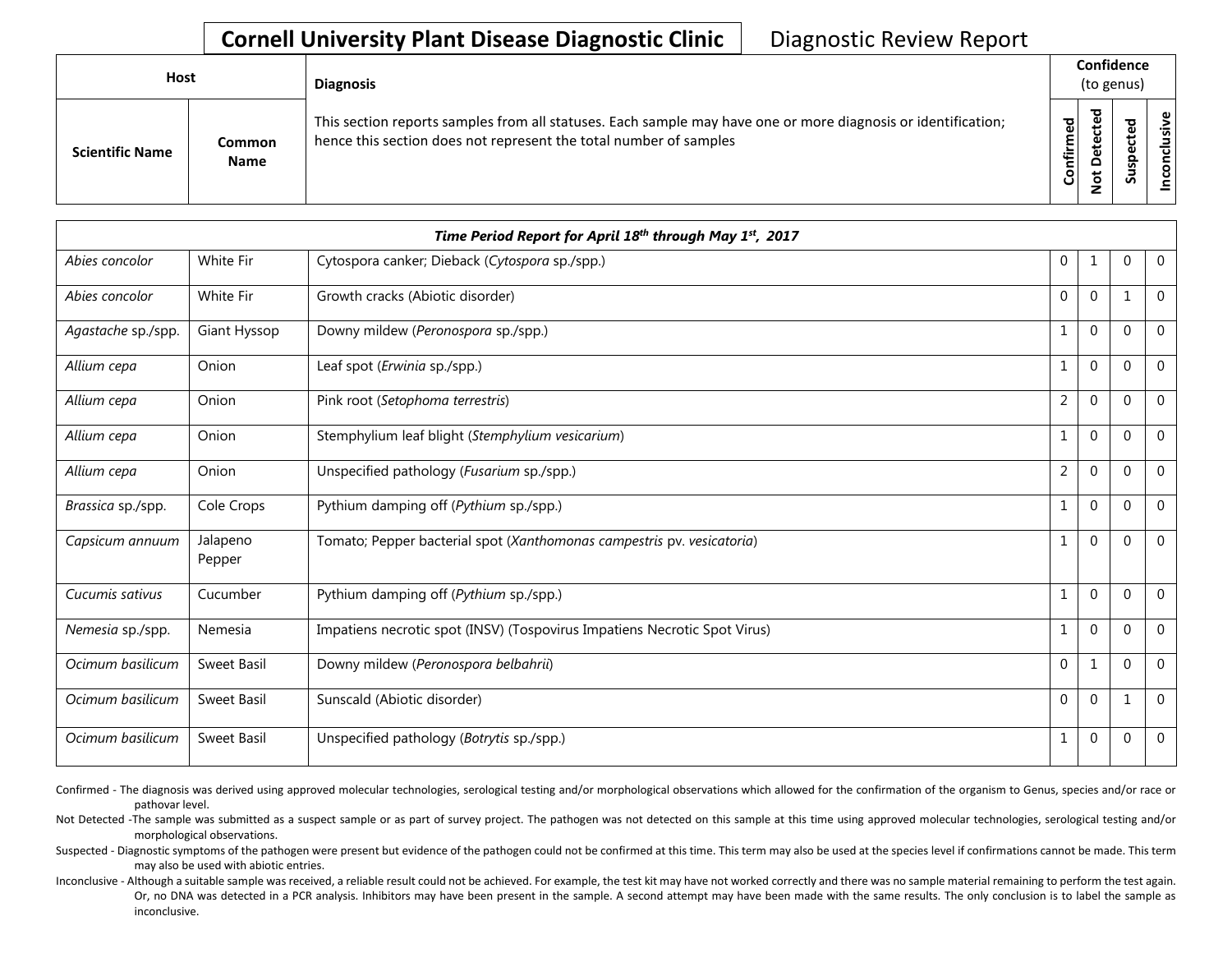## **Cornell University Plant Disease Diagnostic Clinic** | Diagnostic Review Report

| <b>Host</b>            |                       | <b>Diagnosis</b>                                                                                                                                                                   |           | Confidence<br>(to genus)                     |   |                 |  |  |
|------------------------|-----------------------|------------------------------------------------------------------------------------------------------------------------------------------------------------------------------------|-----------|----------------------------------------------|---|-----------------|--|--|
| <b>Scientific Name</b> | Common<br><b>Name</b> | This section reports samples from all statuses. Each sample may have one or more diagnosis or identification;<br>hence this section does not represent the total number of samples | Confirmed | ъ<br>൧<br>Φ<br>سه<br>Δ<br>سه<br>$\circ$<br>⇁ | ທ | ω<br>usiv<br>᠊ᠣ |  |  |

|                    |                    | Time Period Report for April 18th through May 1st, 2017                   |                |              |              |              |
|--------------------|--------------------|---------------------------------------------------------------------------|----------------|--------------|--------------|--------------|
| Abies concolor     | White Fir          | Cytospora canker; Dieback (Cytospora sp./spp.)                            | $\mathbf{0}$   | 1            | $\mathbf 0$  | $\mathbf 0$  |
| Abies concolor     | White Fir          | Growth cracks (Abiotic disorder)                                          | $\mathbf{0}$   | $\mathbf{0}$ | $\mathbf 1$  | $\mathbf 0$  |
| Agastache sp./spp. | Giant Hyssop       | Downy mildew (Peronospora sp./spp.)                                       | 1              | $\mathbf{0}$ | $\Omega$     | $\Omega$     |
| Allium cepa        | Onion              | Leaf spot (Erwinia sp./spp.)                                              | $\mathbf{1}$   | $\mathbf{0}$ | $\Omega$     | $\mathbf 0$  |
| Allium cepa        | Onion              | Pink root (Setophoma terrestris)                                          | $\overline{2}$ | $\Omega$     | $\Omega$     | $\mathbf 0$  |
| Allium cepa        | Onion              | Stemphylium leaf blight (Stemphylium vesicarium)                          | $\mathbf{1}$   | $\mathbf{0}$ | $\Omega$     | $\mathbf 0$  |
| Allium cepa        | Onion              | Unspecified pathology (Fusarium sp./spp.)                                 | $\overline{2}$ | $\mathbf 0$  | $\Omega$     | $\mathbf{0}$ |
| Brassica sp./spp.  | Cole Crops         | Pythium damping off (Pythium sp./spp.)                                    | 1              | $\mathbf{0}$ | $\Omega$     | $\theta$     |
| Capsicum annuum    | Jalapeno<br>Pepper | Tomato; Pepper bacterial spot (Xanthomonas campestris pv. vesicatoria)    | $\mathbf{1}$   | $\Omega$     | $\Omega$     | $\mathbf{0}$ |
| Cucumis sativus    | Cucumber           | Pythium damping off (Pythium sp./spp.)                                    | $\mathbf{1}$   | $\mathbf{0}$ | $\Omega$     | $\Omega$     |
| Nemesia sp./spp.   | Nemesia            | Impatiens necrotic spot (INSV) (Tospovirus Impatiens Necrotic Spot Virus) | $\mathbf{1}$   | $\mathbf{0}$ | $\mathbf{0}$ | $\mathbf 0$  |
| Ocimum basilicum   | Sweet Basil        | Downy mildew (Peronospora belbahrii)                                      | $\Omega$       | $\mathbf{1}$ | $\Omega$     | $\Omega$     |
| Ocimum basilicum   | Sweet Basil        | Sunscald (Abiotic disorder)                                               | $\Omega$       | $\mathbf 0$  | $\mathbf 1$  | $\mathbf 0$  |
| Ocimum basilicum   | Sweet Basil        | Unspecified pathology (Botrytis sp./spp.)                                 | 1              | $\mathbf 0$  | $\mathbf 0$  | $\mathbf 0$  |

Confirmed - The diagnosis was derived using approved molecular technologies, serological testing and/or morphological observations which allowed for the confirmation of the organism to Genus, species and/or race or pathovar level.

Not Detected -The sample was submitted as a suspect sample or as part of survey project. The pathogen was not detected on this sample at this time using approved molecular technologies, serological testing and/or morphological observations.

Suspected - Diagnostic symptoms of the pathogen were present but evidence of the pathogen could not be confirmed at this time. This term may also be used at the species level if confirmations cannot be made. This term may also be used with abiotic entries.

Inconclusive - Although a suitable sample was received, a reliable result could not be achieved. For example, the test kit may have not worked correctly and there was no sample material remaining to perform the test again. Or, no DNA was detected in a PCR analysis. Inhibitors may have been present in the sample. A second attempt may have been made with the same results. The only conclusion is to label the sample as inconclusive.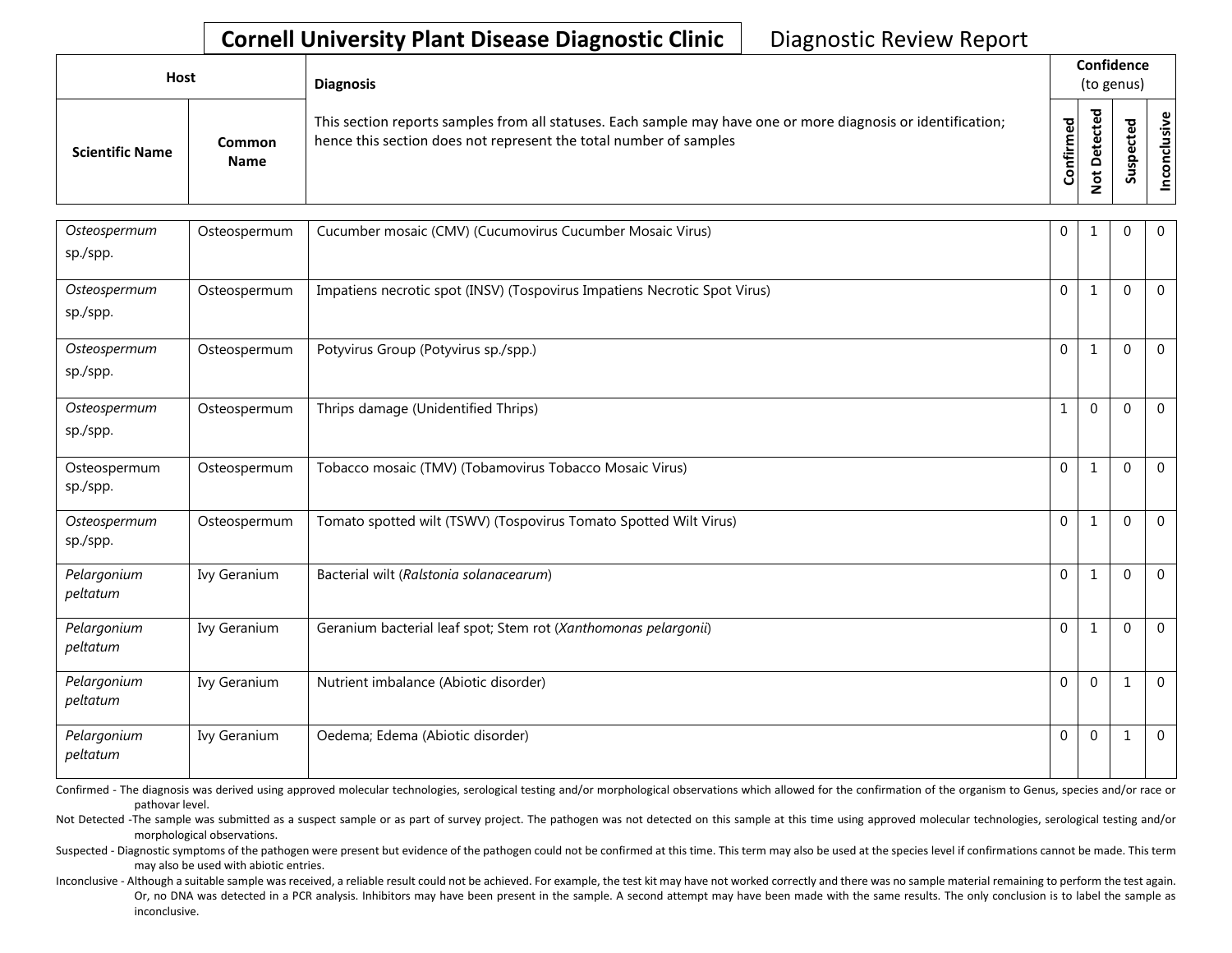## **Cornell University Plant Disease Diagnostic Clinic** | Diagnostic Review Report

| <b>Host</b>            |                       | <b>Diagnosis</b>                                                                                                                                                                   |                    |                                    | Confidence<br>(to genus)   |                                |
|------------------------|-----------------------|------------------------------------------------------------------------------------------------------------------------------------------------------------------------------------|--------------------|------------------------------------|----------------------------|--------------------------------|
| <b>Scientific Name</b> | Common<br><b>Name</b> | This section reports samples from all statuses. Each sample may have one or more diagnosis or identification;<br>hence this section does not represent the total number of samples | යි<br>ග<br>Confirm | $\mathbf{\sigma}$<br>Ö<br>$\Omega$ | ъ<br>٩<br>ω<br>௨<br>š<br>Ū | စ ၊<br>$\frac{2}{\sin \theta}$ |

| Osteospermum<br>sp./spp. | Osteospermum | Cucumber mosaic (CMV) (Cucumovirus Cucumber Mosaic Virus)                 | 0            | $\mathbf{1}$ | $\Omega$     | $\mathbf 0$    |
|--------------------------|--------------|---------------------------------------------------------------------------|--------------|--------------|--------------|----------------|
| Osteospermum<br>sp./spp. | Osteospermum | Impatiens necrotic spot (INSV) (Tospovirus Impatiens Necrotic Spot Virus) | $\mathbf 0$  | 1            | $\mathbf{0}$ | $\mathbf 0$    |
| Osteospermum<br>sp./spp. | Osteospermum | Potyvirus Group (Potyvirus sp./spp.)                                      | $\Omega$     | $\mathbf{1}$ | $\Omega$     | $\overline{0}$ |
| Osteospermum<br>sp./spp. | Osteospermum | Thrips damage (Unidentified Thrips)                                       | 1            | $\mathbf{0}$ | $\Omega$     | $\overline{0}$ |
| Osteospermum<br>sp./spp. | Osteospermum | Tobacco mosaic (TMV) (Tobamovirus Tobacco Mosaic Virus)                   | $\mathbf 0$  | 1            | $\Omega$     | $\overline{0}$ |
| Osteospermum<br>sp./spp. | Osteospermum | Tomato spotted wilt (TSWV) (Tospovirus Tomato Spotted Wilt Virus)         | $\mathbf{0}$ | $\mathbf{1}$ | $\Omega$     | $\mathbf 0$    |
| Pelargonium<br>peltatum  | Ivy Geranium | Bacterial wilt (Ralstonia solanacearum)                                   | $\mathbf{0}$ | $\mathbf{1}$ | $\Omega$     | $\mathbf{0}$   |
| Pelargonium<br>peltatum  | Ivy Geranium | Geranium bacterial leaf spot; Stem rot (Xanthomonas pelargonii)           | $\mathbf 0$  | 1            | $\Omega$     | $\mathbf 0$    |
| Pelargonium<br>peltatum  | Ivy Geranium | Nutrient imbalance (Abiotic disorder)                                     | $\mathbf{0}$ | $\mathbf{0}$ |              | $\overline{0}$ |
| Pelargonium<br>peltatum  | Ivy Geranium | Oedema; Edema (Abiotic disorder)                                          | $\mathbf{0}$ | $\mathbf{0}$ | 1            | $\overline{0}$ |

Confirmed - The diagnosis was derived using approved molecular technologies, serological testing and/or morphological observations which allowed for the confirmation of the organism to Genus, species and/or race or pathovar level.

Not Detected -The sample was submitted as a suspect sample or as part of survey project. The pathogen was not detected on this sample at this time using approved molecular technologies, serological testing and/or morphological observations.

Suspected - Diagnostic symptoms of the pathogen were present but evidence of the pathogen could not be confirmed at this time. This term may also be used at the species level if confirmations cannot be made. This term may also be used with abiotic entries.

Inconclusive - Although a suitable sample was received, a reliable result could not be achieved. For example, the test kit may have not worked correctly and there was no sample material remaining to perform the test again. Or, no DNA was detected in a PCR analysis. Inhibitors may have been present in the sample. A second attempt may have been made with the same results. The only conclusion is to label the sample as inconclusive.